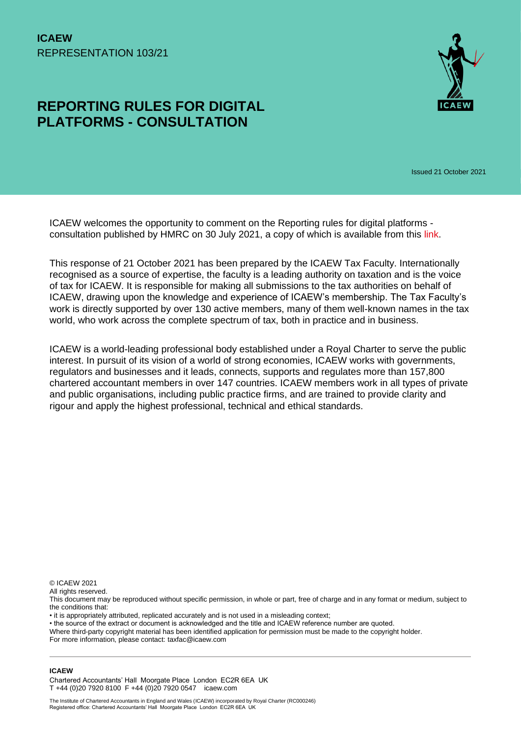# **REPORTING RULES FOR DIGITAL PLATFORMS - CONSULTATION**



Issued 21 October 2021

ICAEW welcomes the opportunity to comment on the Reporting rules for digital platforms consultation published by HMRC on 30 July 2021, a copy of which is available from this [link.](https://www.gov.uk/government/consultations/reporting-rules-for-digital-platforms)

This response of 21 October 2021 has been prepared by the ICAEW Tax Faculty. Internationally recognised as a source of expertise, the faculty is a leading authority on taxation and is the voice of tax for ICAEW. It is responsible for making all submissions to the tax authorities on behalf of ICAEW, drawing upon the knowledge and experience of ICAEW's membership. The Tax Faculty's work is directly supported by over 130 active members, many of them well-known names in the tax world, who work across the complete spectrum of tax, both in practice and in business.

ICAEW is a world-leading professional body established under a Royal Charter to serve the public interest. In pursuit of its vision of a world of strong economies, ICAEW works with governments, regulators and businesses and it leads, connects, supports and regulates more than 157,800 chartered accountant members in over 147 countries. ICAEW members work in all types of private and public organisations, including public practice firms, and are trained to provide clarity and rigour and apply the highest professional, technical and ethical standards.

© ICAEW 2021

All rights reserved.

This document may be reproduced without specific permission, in whole or part, free of charge and in any format or medium, subject to the conditions that:

• it is appropriately attributed, replicated accurately and is not used in a misleading context;

• the source of the extract or document is acknowledged and the title and ICAEW reference number are quoted.

Where third-party copyright material has been identified application for permission must be made to the copyright holder. For more information, please contact: taxfac@icaew.com

#### **ICAEW**

Chartered Accountants' Hall Moorgate Place London EC2R 6EA UK T +44 (0)20 7920 8100 F +44 (0)20 7920 0547 icaew.com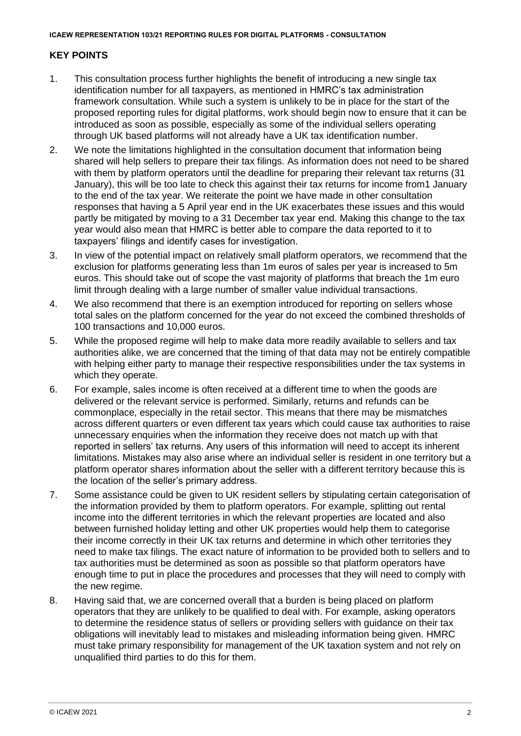# **KEY POINTS**

- 1. This consultation process further highlights the benefit of introducing a new single tax identification number for all taxpayers, as mentioned in HMRC's tax administration framework consultation. While such a system is unlikely to be in place for the start of the proposed reporting rules for digital platforms, work should begin now to ensure that it can be introduced as soon as possible, especially as some of the individual sellers operating through UK based platforms will not already have a UK tax identification number.
- 2. We note the limitations highlighted in the consultation document that information being shared will help sellers to prepare their tax filings. As information does not need to be shared with them by platform operators until the deadline for preparing their relevant tax returns (31 January), this will be too late to check this against their tax returns for income from1 January to the end of the tax year. We reiterate the point we have made in other consultation responses that having a 5 April year end in the UK exacerbates these issues and this would partly be mitigated by moving to a 31 December tax year end. Making this change to the tax year would also mean that HMRC is better able to compare the data reported to it to taxpayers' filings and identify cases for investigation.
- 3. In view of the potential impact on relatively small platform operators, we recommend that the exclusion for platforms generating less than 1m euros of sales per year is increased to 5m euros. This should take out of scope the vast majority of platforms that breach the 1m euro limit through dealing with a large number of smaller value individual transactions.
- 4. We also recommend that there is an exemption introduced for reporting on sellers whose total sales on the platform concerned for the year do not exceed the combined thresholds of 100 transactions and 10,000 euros.
- 5. While the proposed regime will help to make data more readily available to sellers and tax authorities alike, we are concerned that the timing of that data may not be entirely compatible with helping either party to manage their respective responsibilities under the tax systems in which they operate.
- 6. For example, sales income is often received at a different time to when the goods are delivered or the relevant service is performed. Similarly, returns and refunds can be commonplace, especially in the retail sector. This means that there may be mismatches across different quarters or even different tax years which could cause tax authorities to raise unnecessary enquiries when the information they receive does not match up with that reported in sellers' tax returns. Any users of this information will need to accept its inherent limitations. Mistakes may also arise where an individual seller is resident in one territory but a platform operator shares information about the seller with a different territory because this is the location of the seller's primary address.
- 7. Some assistance could be given to UK resident sellers by stipulating certain categorisation of the information provided by them to platform operators. For example, splitting out rental income into the different territories in which the relevant properties are located and also between furnished holiday letting and other UK properties would help them to categorise their income correctly in their UK tax returns and determine in which other territories they need to make tax filings. The exact nature of information to be provided both to sellers and to tax authorities must be determined as soon as possible so that platform operators have enough time to put in place the procedures and processes that they will need to comply with the new regime.
- 8. Having said that, we are concerned overall that a burden is being placed on platform operators that they are unlikely to be qualified to deal with. For example, asking operators to determine the residence status of sellers or providing sellers with guidance on their tax obligations will inevitably lead to mistakes and misleading information being given. HMRC must take primary responsibility for management of the UK taxation system and not rely on unqualified third parties to do this for them.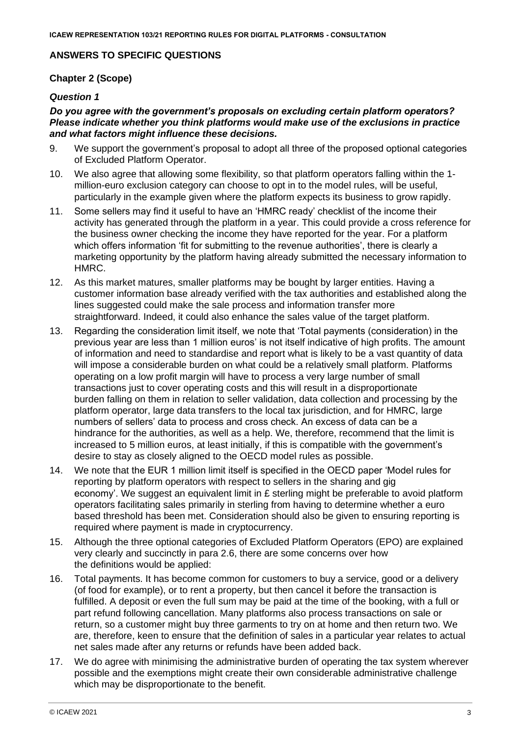#### **ANSWERS TO SPECIFIC QUESTIONS**

#### **Chapter 2 (Scope)**

#### *Question 1*

#### *Do you agree with the government's proposals on excluding certain platform operators? Please indicate whether you think platforms would make use of the exclusions in practice and what factors might influence these decisions.*

- 9. We support the government's proposal to adopt all three of the proposed optional categories of Excluded Platform Operator.
- 10. We also agree that allowing some flexibility, so that platform operators falling within the 1 million-euro exclusion category can choose to opt in to the model rules, will be useful, particularly in the example given where the platform expects its business to grow rapidly.
- 11. Some sellers may find it useful to have an 'HMRC ready' checklist of the income their activity has generated through the platform in a year. This could provide a cross reference for the business owner checking the income they have reported for the year. For a platform which offers information 'fit for submitting to the revenue authorities', there is clearly a marketing opportunity by the platform having already submitted the necessary information to HMRC.
- 12. As this market matures, smaller platforms may be bought by larger entities. Having a customer information base already verified with the tax authorities and established along the lines suggested could make the sale process and information transfer more straightforward. Indeed, it could also enhance the sales value of the target platform.
- 13. Regarding the consideration limit itself, we note that 'Total payments (consideration) in the previous year are less than 1 million euros' is not itself indicative of high profits. The amount of information and need to standardise and report what is likely to be a vast quantity of data will impose a considerable burden on what could be a relatively small platform. Platforms operating on a low profit margin will have to process a very large number of small transactions just to cover operating costs and this will result in a disproportionate burden falling on them in relation to seller validation, data collection and processing by the platform operator, large data transfers to the local tax jurisdiction, and for HMRC, large numbers of sellers' data to process and cross check. An excess of data can be a hindrance for the authorities, as well as a help. We, therefore, recommend that the limit is increased to 5 million euros, at least initially, if this is compatible with the government's desire to stay as closely aligned to the OECD model rules as possible.
- 14. We note that the EUR 1 million limit itself is specified in the OECD paper 'Model rules for reporting by platform operators with respect to sellers in the sharing and gig economy'. We suggest an equivalent limit in £ sterling might be preferable to avoid platform operators facilitating sales primarily in sterling from having to determine whether a euro based threshold has been met. Consideration should also be given to ensuring reporting is required where payment is made in cryptocurrency.
- 15. Although the three optional categories of Excluded Platform Operators (EPO) are explained very clearly and succinctly in para 2.6, there are some concerns over how the definitions would be applied:
- 16. Total payments. It has become common for customers to buy a service, good or a delivery (of food for example), or to rent a property, but then cancel it before the transaction is fulfilled. A deposit or even the full sum may be paid at the time of the booking, with a full or part refund following cancellation. Many platforms also process transactions on sale or return, so a customer might buy three garments to try on at home and then return two. We are, therefore, keen to ensure that the definition of sales in a particular year relates to actual net sales made after any returns or refunds have been added back.
- 17. We do agree with minimising the administrative burden of operating the tax system wherever possible and the exemptions might create their own considerable administrative challenge which may be disproportionate to the benefit.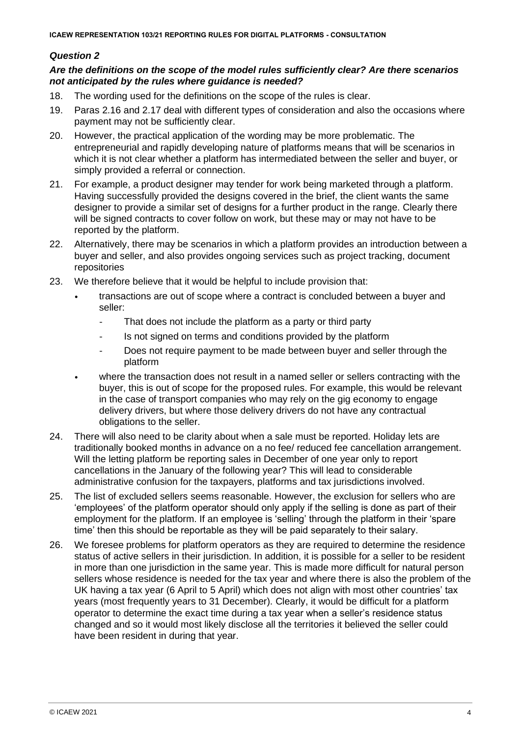#### *Are the definitions on the scope of the model rules sufficiently clear? Are there scenarios not anticipated by the rules where guidance is needed?*

- 18. The wording used for the definitions on the scope of the rules is clear.
- 19. Paras 2.16 and 2.17 deal with different types of consideration and also the occasions where payment may not be sufficiently clear.
- 20. However, the practical application of the wording may be more problematic. The entrepreneurial and rapidly developing nature of platforms means that will be scenarios in which it is not clear whether a platform has intermediated between the seller and buyer, or simply provided a referral or connection.
- 21. For example, a product designer may tender for work being marketed through a platform. Having successfully provided the designs covered in the brief, the client wants the same designer to provide a similar set of designs for a further product in the range. Clearly there will be signed contracts to cover follow on work, but these may or may not have to be reported by the platform.
- 22. Alternatively, there may be scenarios in which a platform provides an introduction between a buyer and seller, and also provides ongoing services such as project tracking, document repositories
- 23. We therefore believe that it would be helpful to include provision that:
	- transactions are out of scope where a contract is concluded between a buyer and seller:
		- That does not include the platform as a party or third party
		- Is not signed on terms and conditions provided by the platform
		- Does not require payment to be made between buyer and seller through the platform
	- where the transaction does not result in a named seller or sellers contracting with the buyer, this is out of scope for the proposed rules. For example, this would be relevant in the case of transport companies who may rely on the gig economy to engage delivery drivers, but where those delivery drivers do not have any contractual obligations to the seller.
- 24. There will also need to be clarity about when a sale must be reported. Holiday lets are traditionally booked months in advance on a no fee/ reduced fee cancellation arrangement. Will the letting platform be reporting sales in December of one year only to report cancellations in the January of the following year? This will lead to considerable administrative confusion for the taxpayers, platforms and tax jurisdictions involved.
- 25. The list of excluded sellers seems reasonable. However, the exclusion for sellers who are 'employees' of the platform operator should only apply if the selling is done as part of their employment for the platform. If an employee is 'selling' through the platform in their 'spare time' then this should be reportable as they will be paid separately to their salary.
- 26. We foresee problems for platform operators as they are required to determine the residence status of active sellers in their jurisdiction. In addition, it is possible for a seller to be resident in more than one jurisdiction in the same year. This is made more difficult for natural person sellers whose residence is needed for the tax year and where there is also the problem of the UK having a tax year (6 April to 5 April) which does not align with most other countries' tax years (most frequently years to 31 December). Clearly, it would be difficult for a platform operator to determine the exact time during a tax year when a seller's residence status changed and so it would most likely disclose all the territories it believed the seller could have been resident in during that year.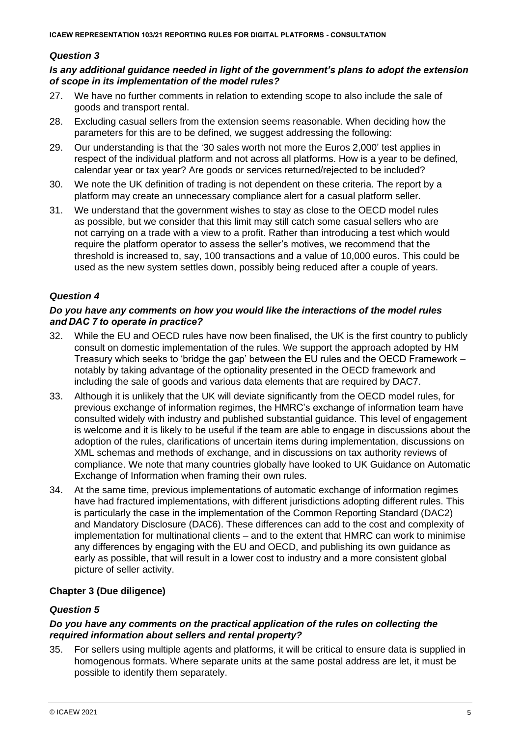#### *Is any additional guidance needed in light of the government's plans to adopt the extension of scope in its implementation of the model rules?*

- 27. We have no further comments in relation to extending scope to also include the sale of goods and transport rental.
- 28. Excluding casual sellers from the extension seems reasonable. When deciding how the parameters for this are to be defined, we suggest addressing the following:
- 29. Our understanding is that the '30 sales worth not more the Euros 2,000' test applies in respect of the individual platform and not across all platforms. How is a year to be defined, calendar year or tax year? Are goods or services returned/rejected to be included?
- 30. We note the UK definition of trading is not dependent on these criteria. The report by a platform may create an unnecessary compliance alert for a casual platform seller.
- 31. We understand that the government wishes to stay as close to the OECD model rules as possible, but we consider that this limit may still catch some casual sellers who are not carrying on a trade with a view to a profit. Rather than introducing a test which would require the platform operator to assess the seller's motives, we recommend that the threshold is increased to, say, 100 transactions and a value of 10,000 euros. This could be used as the new system settles down, possibly being reduced after a couple of years.

#### *Question 4*

#### *Do you have any comments on how you would like the interactions of the model rules and DAC 7 to operate in practice?*

- 32. While the EU and OECD rules have now been finalised, the UK is the first country to publicly consult on domestic implementation of the rules. We support the approach adopted by HM Treasury which seeks to 'bridge the gap' between the EU rules and the OECD Framework – notably by taking advantage of the optionality presented in the OECD framework and including the sale of goods and various data elements that are required by DAC7.
- 33. Although it is unlikely that the UK will deviate significantly from the OECD model rules, for previous exchange of information regimes, the HMRC's exchange of information team have consulted widely with industry and published substantial guidance. This level of engagement is welcome and it is likely to be useful if the team are able to engage in discussions about the adoption of the rules, clarifications of uncertain items during implementation, discussions on XML schemas and methods of exchange, and in discussions on tax authority reviews of compliance. We note that many countries globally have looked to UK Guidance on Automatic Exchange of Information when framing their own rules.
- 34. At the same time, previous implementations of automatic exchange of information regimes have had fractured implementations, with different jurisdictions adopting different rules. This is particularly the case in the implementation of the Common Reporting Standard (DAC2) and Mandatory Disclosure (DAC6). These differences can add to the cost and complexity of implementation for multinational clients – and to the extent that HMRC can work to minimise any differences by engaging with the EU and OECD, and publishing its own guidance as early as possible, that will result in a lower cost to industry and a more consistent global picture of seller activity.

# **Chapter 3 (Due diligence)**

### *Question 5*

#### *Do you have any comments on the practical application of the rules on collecting the required information about sellers and rental property?*

35. For sellers using multiple agents and platforms, it will be critical to ensure data is supplied in homogenous formats. Where separate units at the same postal address are let, it must be possible to identify them separately.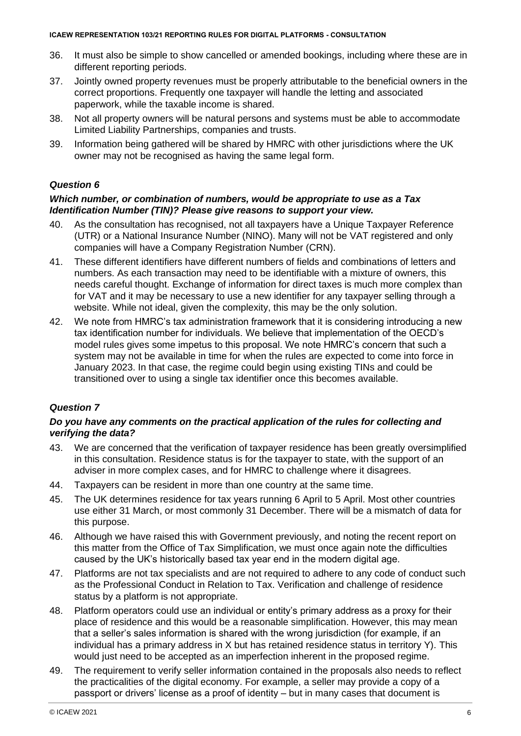- 36. It must also be simple to show cancelled or amended bookings, including where these are in different reporting periods.
- 37. Jointly owned property revenues must be properly attributable to the beneficial owners in the correct proportions. Frequently one taxpayer will handle the letting and associated paperwork, while the taxable income is shared.
- 38. Not all property owners will be natural persons and systems must be able to accommodate Limited Liability Partnerships, companies and trusts.
- 39. Information being gathered will be shared by HMRC with other jurisdictions where the UK owner may not be recognised as having the same legal form.

#### *Which number, or combination of numbers, would be appropriate to use as a Tax Identification Number (TIN)? Please give reasons to support your view.*

- 40. As the consultation has recognised, not all taxpayers have a Unique Taxpayer Reference (UTR) or a National Insurance Number (NINO). Many will not be VAT registered and only companies will have a Company Registration Number (CRN).
- 41. These different identifiers have different numbers of fields and combinations of letters and numbers. As each transaction may need to be identifiable with a mixture of owners, this needs careful thought. Exchange of information for direct taxes is much more complex than for VAT and it may be necessary to use a new identifier for any taxpayer selling through a website. While not ideal, given the complexity, this may be the only solution.
- 42. We note from HMRC's tax administration framework that it is considering introducing a new tax identification number for individuals. We believe that implementation of the OECD's model rules gives some impetus to this proposal. We note HMRC's concern that such a system may not be available in time for when the rules are expected to come into force in January 2023. In that case, the regime could begin using existing TINs and could be transitioned over to using a single tax identifier once this becomes available.

# *Question 7*

#### *Do you have any comments on the practical application of the rules for collecting and verifying the data?*

- 43. We are concerned that the verification of taxpayer residence has been greatly oversimplified in this consultation. Residence status is for the taxpayer to state, with the support of an adviser in more complex cases, and for HMRC to challenge where it disagrees.
- 44. Taxpayers can be resident in more than one country at the same time.
- 45. The UK determines residence for tax years running 6 April to 5 April. Most other countries use either 31 March, or most commonly 31 December. There will be a mismatch of data for this purpose.
- 46. Although we have raised this with Government previously, and noting the recent report on this matter from the Office of Tax Simplification, we must once again note the difficulties caused by the UK's historically based tax year end in the modern digital age.
- 47. Platforms are not tax specialists and are not required to adhere to any code of conduct such as the Professional Conduct in Relation to Tax. Verification and challenge of residence status by a platform is not appropriate.
- 48. Platform operators could use an individual or entity's primary address as a proxy for their place of residence and this would be a reasonable simplification. However, this may mean that a seller's sales information is shared with the wrong jurisdiction (for example, if an individual has a primary address in X but has retained residence status in territory Y). This would just need to be accepted as an imperfection inherent in the proposed regime.
- 49. The requirement to verify seller information contained in the proposals also needs to reflect the practicalities of the digital economy. For example, a seller may provide a copy of a passport or drivers' license as a proof of identity – but in many cases that document is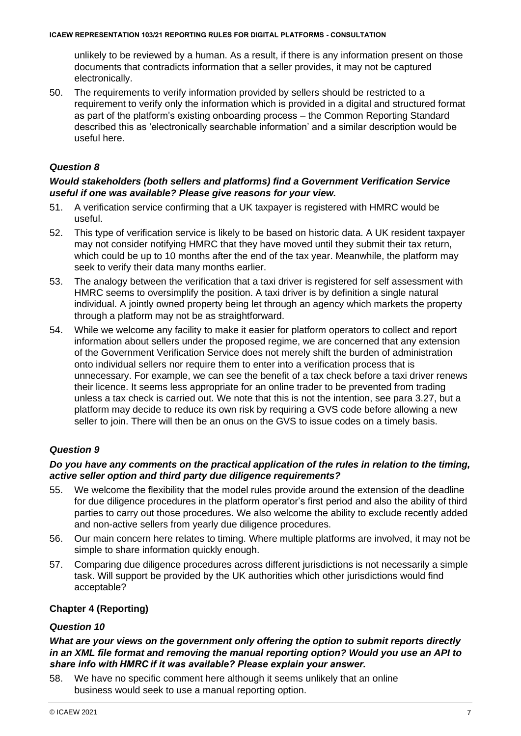unlikely to be reviewed by a human. As a result, if there is any information present on those documents that contradicts information that a seller provides, it may not be captured electronically.

50. The requirements to verify information provided by sellers should be restricted to a requirement to verify only the information which is provided in a digital and structured format as part of the platform's existing onboarding process – the Common Reporting Standard described this as 'electronically searchable information' and a similar description would be useful here.

# *Question 8*

#### *Would stakeholders (both sellers and platforms) find a Government Verification Service useful if one was available? Please give reasons for your view.*

- 51. A verification service confirming that a UK taxpayer is registered with HMRC would be useful.
- 52. This type of verification service is likely to be based on historic data. A UK resident taxpayer may not consider notifying HMRC that they have moved until they submit their tax return, which could be up to 10 months after the end of the tax year. Meanwhile, the platform may seek to verify their data many months earlier.
- 53. The analogy between the verification that a taxi driver is registered for self assessment with HMRC seems to oversimplify the position. A taxi driver is by definition a single natural individual. A jointly owned property being let through an agency which markets the property through a platform may not be as straightforward.
- 54. While we welcome any facility to make it easier for platform operators to collect and report information about sellers under the proposed regime, we are concerned that any extension of the Government Verification Service does not merely shift the burden of administration onto individual sellers nor require them to enter into a verification process that is unnecessary. For example, we can see the benefit of a tax check before a taxi driver renews their licence. It seems less appropriate for an online trader to be prevented from trading unless a tax check is carried out. We note that this is not the intention, see para 3.27, but a platform may decide to reduce its own risk by requiring a GVS code before allowing a new seller to join. There will then be an onus on the GVS to issue codes on a timely basis.

# *Question 9*

#### *Do you have any comments on the practical application of the rules in relation to the timing, active seller option and third party due diligence requirements?*

- 55. We welcome the flexibility that the model rules provide around the extension of the deadline for due diligence procedures in the platform operator's first period and also the ability of third parties to carry out those procedures. We also welcome the ability to exclude recently added and non-active sellers from yearly due diligence procedures.
- 56. Our main concern here relates to timing. Where multiple platforms are involved, it may not be simple to share information quickly enough.
- 57. Comparing due diligence procedures across different jurisdictions is not necessarily a simple task. Will support be provided by the UK authorities which other jurisdictions would find acceptable?

# **Chapter 4 (Reporting)**

#### *Question 10*

#### *What are your views on the government only offering the option to submit reports directly in an XML file format and removing the manual reporting option? Would you use an API to share info with HMRC if it was available? Please explain your answer.*

58. We have no specific comment here although it seems unlikely that an online business would seek to use a manual reporting option.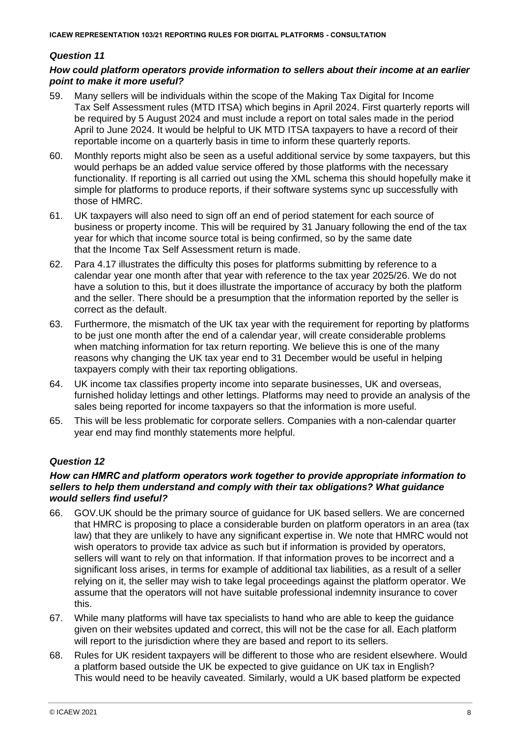### *How could platform operators provide information to sellers about their income at an earlier point to make it more useful?*

- 59. Many sellers will be individuals within the scope of the Making Tax Digital for Income Tax Self Assessment rules (MTD ITSA) which begins in April 2024. First quarterly reports will be required by 5 August 2024 and must include a report on total sales made in the period April to June 2024. It would be helpful to UK MTD ITSA taxpayers to have a record of their reportable income on a quarterly basis in time to inform these quarterly reports.
- 60. Monthly reports might also be seen as a useful additional service by some taxpayers, but this would perhaps be an added value service offered by those platforms with the necessary functionality. If reporting is all carried out using the XML schema this should hopefully make it simple for platforms to produce reports, if their software systems sync up successfully with those of HMRC.
- 61. UK taxpayers will also need to sign off an end of period statement for each source of business or property income. This will be required by 31 January following the end of the tax year for which that income source total is being confirmed, so by the same date that the Income Tax Self Assessment return is made.
- 62. Para 4.17 illustrates the difficulty this poses for platforms submitting by reference to a calendar year one month after that year with reference to the tax year 2025/26. We do not have a solution to this, but it does illustrate the importance of accuracy by both the platform and the seller. There should be a presumption that the information reported by the seller is correct as the default.
- 63. Furthermore, the mismatch of the UK tax year with the requirement for reporting by platforms to be just one month after the end of a calendar year, will create considerable problems when matching information for tax return reporting. We believe this is one of the many reasons why changing the UK tax year end to 31 December would be useful in helping taxpayers comply with their tax reporting obligations.
- 64. UK income tax classifies property income into separate businesses, UK and overseas, furnished holiday lettings and other lettings. Platforms may need to provide an analysis of the sales being reported for income taxpayers so that the information is more useful.
- 65. This will be less problematic for corporate sellers. Companies with a non-calendar quarter year end may find monthly statements more helpful.

# *Question 12*

#### *How can HMRC and platform operators work together to provide appropriate information to sellers to help them understand and comply with their tax obligations? What guidance would sellers find useful?*

- 66. GOV.UK should be the primary source of guidance for UK based sellers. We are concerned that HMRC is proposing to place a considerable burden on platform operators in an area (tax law) that they are unlikely to have any significant expertise in. We note that HMRC would not wish operators to provide tax advice as such but if information is provided by operators, sellers will want to rely on that information. If that information proves to be incorrect and a significant loss arises, in terms for example of additional tax liabilities, as a result of a seller relying on it, the seller may wish to take legal proceedings against the platform operator. We assume that the operators will not have suitable professional indemnity insurance to cover this.
- 67. While many platforms will have tax specialists to hand who are able to keep the guidance given on their websites updated and correct, this will not be the case for all. Each platform will report to the jurisdiction where they are based and report to its sellers.
- 68. Rules for UK resident taxpayers will be different to those who are resident elsewhere. Would a platform based outside the UK be expected to give guidance on UK tax in English? This would need to be heavily caveated. Similarly, would a UK based platform be expected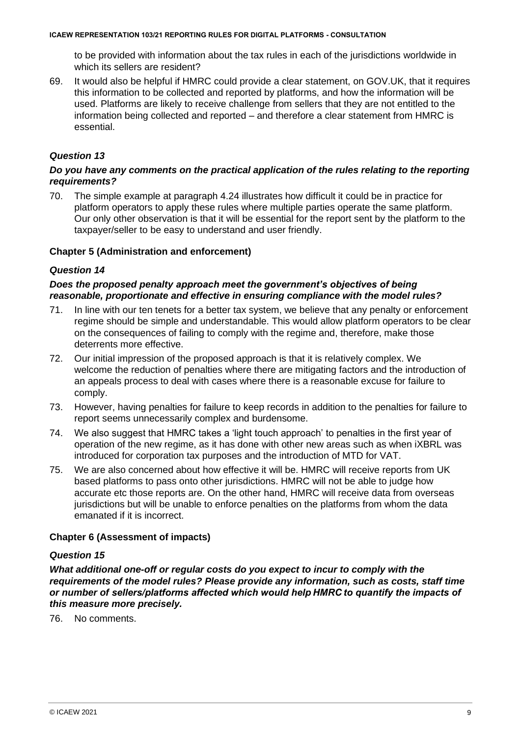to be provided with information about the tax rules in each of the jurisdictions worldwide in which its sellers are resident?

69. It would also be helpful if HMRC could provide a clear statement, on GOV.UK, that it requires this information to be collected and reported by platforms, and how the information will be used. Platforms are likely to receive challenge from sellers that they are not entitled to the information being collected and reported – and therefore a clear statement from HMRC is essential.

# *Question 13*

#### *Do you have any comments on the practical application of the rules relating to the reporting requirements?*

70. The simple example at paragraph 4.24 illustrates how difficult it could be in practice for platform operators to apply these rules where multiple parties operate the same platform. Our only other observation is that it will be essential for the report sent by the platform to the taxpayer/seller to be easy to understand and user friendly.

#### **Chapter 5 (Administration and enforcement)**

#### *Question 14*

#### *Does the proposed penalty approach meet the government's objectives of being reasonable, proportionate and effective in ensuring compliance with the model rules?*

- 71. In line with our ten tenets for a better tax system, we believe that any penalty or enforcement regime should be simple and understandable. This would allow platform operators to be clear on the consequences of failing to comply with the regime and, therefore, make those deterrents more effective.
- 72. Our initial impression of the proposed approach is that it is relatively complex. We welcome the reduction of penalties where there are mitigating factors and the introduction of an appeals process to deal with cases where there is a reasonable excuse for failure to comply.
- 73. However, having penalties for failure to keep records in addition to the penalties for failure to report seems unnecessarily complex and burdensome.
- 74. We also suggest that HMRC takes a 'light touch approach' to penalties in the first year of operation of the new regime, as it has done with other new areas such as when iXBRL was introduced for corporation tax purposes and the introduction of MTD for VAT.
- 75. We are also concerned about how effective it will be. HMRC will receive reports from UK based platforms to pass onto other jurisdictions. HMRC will not be able to judge how accurate etc those reports are. On the other hand, HMRC will receive data from overseas jurisdictions but will be unable to enforce penalties on the platforms from whom the data emanated if it is incorrect.

#### **Chapter 6 (Assessment of impacts)**

#### *Question 15*

*What additional one-off or regular costs do you expect to incur to comply with the requirements of the model rules? Please provide any information, such as costs, staff time or number of sellers/platforms affected which would help HMRC to quantify the impacts of this measure more precisely.*

76. No comments.